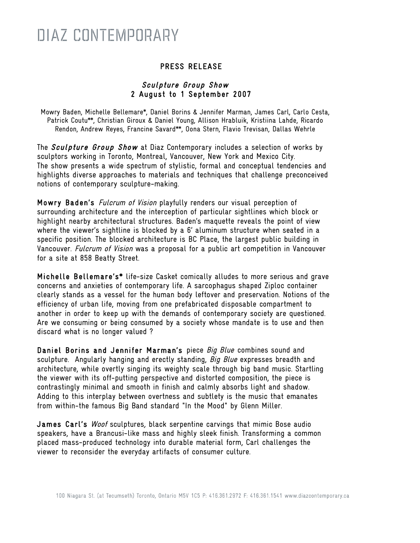#### PRESS RELEASE

#### Sculpture Group Show 2 August to 1 September 2007

Mowry Baden, Michelle Bellemare\*, Daniel Borins & Jennifer Marman, James Carl, Carlo Cesta, Patrick Coutu\*\*, Christian Giroux & Daniel Young, Allison Hrabluik, Kristiina Lahde, Ricardo Rendon, Andrew Reyes, Francine Savard\*\*, Oona Stern, Flavio Trevisan, Dallas Wehrle

The Sculpture Group Show at Diaz Contemporary includes a selection of works by sculptors working in Toronto, Montreal, Vancouver, New York and Mexico City. The show presents a wide spectrum of stylistic, formal and conceptual tendencies and highlights diverse approaches to materials and techniques that challenge preconceived notions of contemporary sculpture-making.

Mowry Baden's Fulcrum of Vision playfully renders our visual perception of surrounding architecture and the interception of particular sightlines which block or highlight nearby architectural structures. Baden's maquette reveals the point of view where the viewer's sightline is blocked by a 6' aluminum structure when seated in a specific position. The blocked architecture is BC Place, the largest public building in Vancouver. Fulcrum of Vision was a proposal for a public art competition in Vancouver for a site at 858 Beatty Street.

Michelle Bellemare's\* life-size Casket comically alludes to more serious and grave concerns and anxieties of contemporary life. A sarcophagus shaped Ziploc container clearly stands as a vessel for the human body leftover and preservation. Notions of the efficiency of urban life, moving from one prefabricated disposable compartment to another in order to keep up with the demands of contemporary society are questioned. Are we consuming or being consumed by a society whose mandate is to use and then discard what is no longer valued ?

Daniel Borins and Jennifer Marman's piece Big Blue combines sound and sculpture. Angularly hanging and erectly standing, Big Blue expresses breadth and architecture, while overtly singing its weighty scale through big band music. Startling the viewer with its off-putting perspective and distorted composition, the piece is contrastingly minimal and smooth in finish and calmly absorbs light and shadow. Adding to this interplay between overtness and subtlety is the music that emanates from within-the famous Big Band standard "In the Mood" by Glenn Miller.

James Carl's Woof sculptures, black serpentine carvings that mimic Bose audio speakers, have a Brancusi-like mass and highly sleek finish. Transforming a common placed mass-produced technology into durable material form, Carl challenges the viewer to reconsider the everyday artifacts of consumer culture.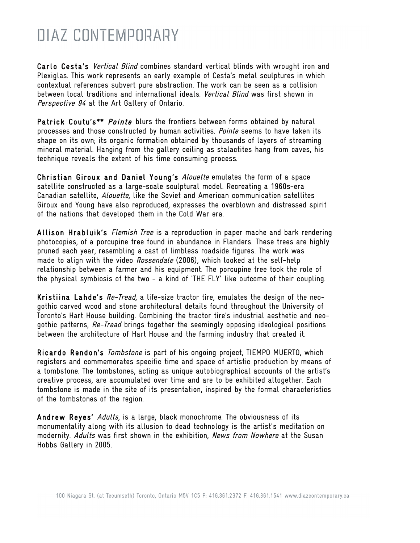Carlo Cesta's *Vertical Blind* combines standard vertical blinds with wrought iron and Plexiglas. This work represents an early example of Cesta's metal sculptures in which contextual references subvert pure abstraction. The work can be seen as a collision between local traditions and international ideals. Vertical Blind was first shown in Perspective 94 at the Art Gallery of Ontario.

Patrick Coutu's\*\* *Pointe* blurs the frontiers between forms obtained by natural processes and those constructed by human activities. Pointe seems to have taken its shape on its own; its organic formation obtained by thousands of layers of streaming mineral material. Hanging from the gallery ceiling as stalactites hang from caves, his technique reveals the extent of his time consuming process.

Christian Giroux and Daniel Young's Alouette emulates the form of a space satellite constructed as a large-scale sculptural model. Recreating a 1960s-era Canadian satellite, Alouette, like the Soviet and American communication satellites Giroux and Young have also reproduced, expresses the overblown and distressed spirit of the nations that developed them in the Cold War era.

Allison Hrabluik's *Flemish Tree* is a reproduction in paper mache and bark rendering photocopies, of a porcupine tree found in abundance in Flanders. These trees are highly pruned each year, resembling a cast of limbless roadside figures. The work was made to align with the video Rossendale (2006), which looked at the self-help relationship between a farmer and his equipment. The porcupine tree took the role of the physical symbiosis of the two - a kind of 'THE FLY' like outcome of their coupling.

Kristiina Lahde's *Re-Tread*, a life-size tractor tire, emulates the design of the neogothic carved wood and stone architectural details found throughout the University of Toronto's Hart House building. Combining the tractor tire's industrial aesthetic and neogothic patterns, Re-Tread brings together the seemingly opposing ideological positions between the architecture of Hart House and the farming industry that created it.

Ricardo Rendon's Tombstone is part of his ongoing project, TIEMPO MUERTO, which registers and commemorates specific time and space of artistic production by means of a tombstone. The tombstones, acting as unique autobiographical accounts of the artist's creative process, are accumulated over time and are to be exhibited altogether. Each tombstone is made in the site of its presentation, inspired by the formal characteristics of the tombstones of the region.

Andrew Reyes' Adults, is a large, black monochrome. The obviousness of its monumentality along with its allusion to dead technology is the artist's meditation on modernity. Adults was first shown in the exhibition, News from Nowhere at the Susan Hobbs Gallery in 2005.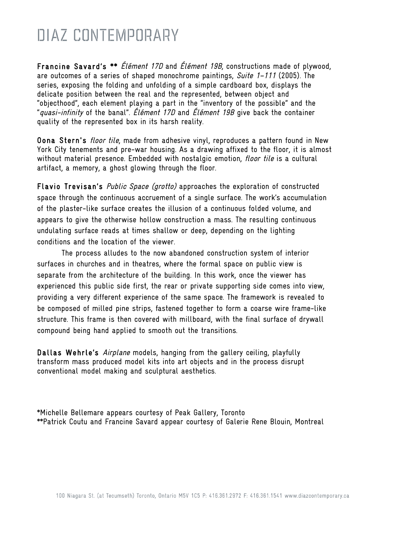Francine Savard's \*\* *Élément 17D* and *Élément 19B*, constructions made of plywood, are outcomes of a series of shaped monochrome paintings, Suite  $1-111$  (2005). The series, exposing the folding and unfolding of a simple cardboard box, displays the delicate position between the real and the represented, between object and "objecthood", each element playing a part in the "inventory of the possible" and the "quasi-infinity of the banal". Élément 17D and Élément 19B give back the container quality of the represented box in its harsh reality.

Oona Stern's floor tile, made from adhesive vinyl, reproduces a pattern found in New York City tenements and pre-war housing. As a drawing affixed to the floor, it is almost without material presence. Embedded with nostalgic emotion, floor tile is a cultural artifact, a memory, a ghost glowing through the floor.

Flavio Trevisan's *Public Space (grotto)* approaches the exploration of constructed space through the continuous accruement of a single surface. The work's accumulation of the plaster-like surface creates the illusion of a continuous folded volume, and appears to give the otherwise hollow construction a mass. The resulting continuous undulating surface reads at times shallow or deep, depending on the lighting conditions and the location of the viewer.

The process alludes to the now abandoned construction system of interior surfaces in churches and in theatres, where the formal space on public view is separate from the architecture of the building. In this work, once the viewer has experienced this public side first, the rear or private supporting side comes into view, providing a very different experience of the same space. The framework is revealed to be composed of milled pine strips, fastened together to form a coarse wire frame-like structure. This frame is then covered with millboard, with the final surface of drywall compound being hand applied to smooth out the transitions.

Dallas Wehrle's *Airplane* models, hanging from the gallery ceiling, playfully transform mass produced model kits into art objects and in the process disrupt conventional model making and sculptural aesthetics.

\*Michelle Bellemare appears courtesy of Peak Gallery, Toronto \*\*Patrick Coutu and Francine Savard appear courtesy of Galerie Rene Blouin, Montreal